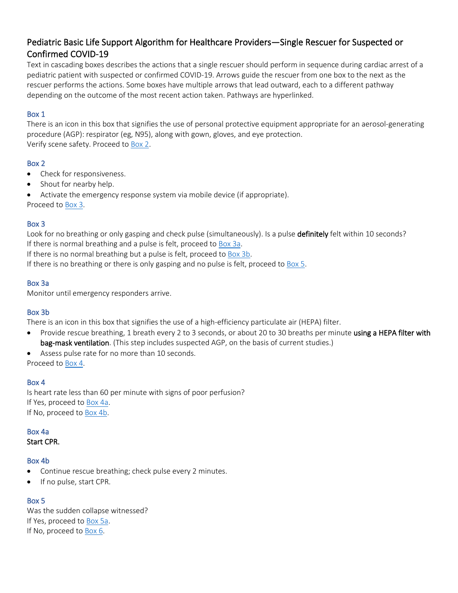# Pediatric Basic Life Support Algorithm for Healthcare Providers—Single Rescuer for Suspected or Confirmed COVID-19

Text in cascading boxes describes the actions that a single rescuer should perform in sequence during cardiac arrest of a pediatric patient with suspected or confirmed COVID-19. Arrows guide the rescuer from one box to the next as the rescuer performs the actions. Some boxes have multiple arrows that lead outward, each to a different pathway depending on the outcome of the most recent action taken. Pathways are hyperlinked.

### Box 1

There is an icon in this box that signifies the use of personal protective equipment appropriate for an aerosol-generating procedure (AGP): respirator (eg, N95), along with gown, gloves, and eye protection. Verify scene safety. Proceed to [Box 2.](#page-0-0)

#### <span id="page-0-0"></span>Box 2

- Check for responsiveness.
- Shout for nearby help.

• Activate the emergency response system via mobile device (if appropriate). Proceed t[o Box 3.](#page-0-1)

### <span id="page-0-1"></span>Box 3

Look for no breathing or only gasping and check pulse (simultaneously). Is a pulse definitely felt within 10 seconds? If there is normal breathing and a pulse is felt, proceed to [Box 3a.](#page-0-2) If there is no normal breathing but a pulse is felt, proceed t[o Box](#page-0-3) 3b.

<span id="page-0-2"></span>If there is no breathing or there is only gasping and no pulse is felt, proceed to [Box 5.](#page-0-4)

### Box 3a

<span id="page-0-3"></span>Monitor until emergency responders arrive.

#### Box 3b

There is an icon in this box that signifies the use of a high-efficiency particulate air (HEPA) filter.

- Provide rescue breathing, 1 breath every 2 to 3 seconds, or about 20 to 30 breaths per minute using a HEPA filter with bag-mask ventilation. (This step includes suspected AGP, on the basis of current studies.)
- Assess pulse rate for no more than 10 seconds. Proceed to [Box 4.](#page-0-5)

<span id="page-0-5"></span>

#### Box 4

Is heart rate less than 60 per minute with signs of poor perfusion? If Yes, proceed to [Box 4a.](#page-0-6) If No, proceed to [Box 4b.](#page-0-7)

<span id="page-0-6"></span>Box 4a

<span id="page-0-7"></span>Start CPR.

#### Box 4b

- Continue rescue breathing; check pulse every 2 minutes.
- <span id="page-0-4"></span>If no pulse, start CPR.

#### Box 5

Was the sudden collapse witnessed? If Yes, proceed to [Box 5a.](#page-1-0) If No, proceed to [Box 6.](#page-1-1)